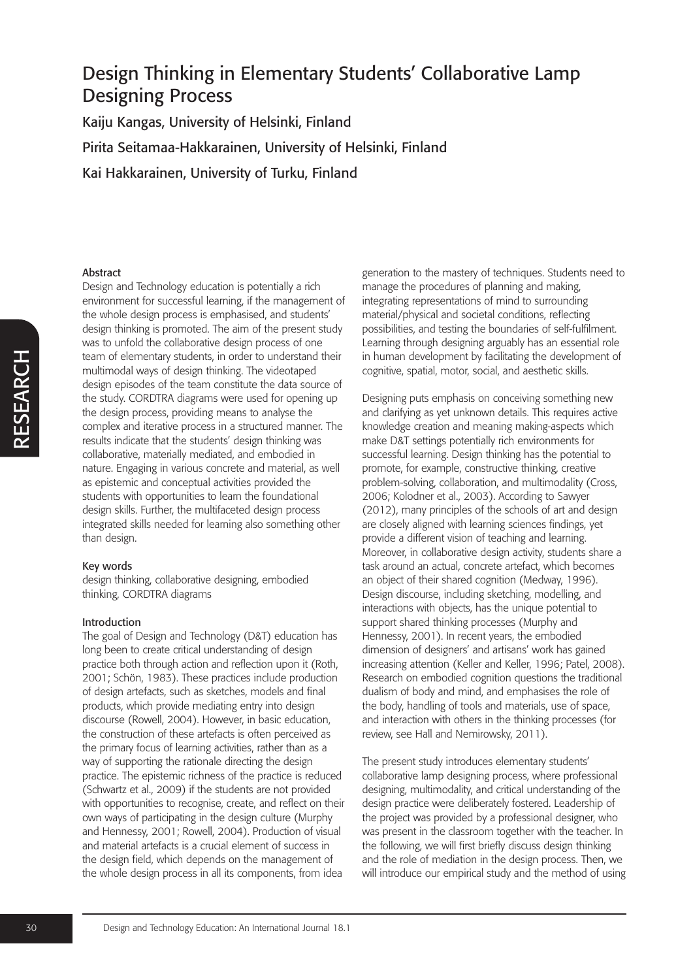Kaiju Kangas, University of Helsinki, Finland Pirita Seitamaa-Hakkarainen, University of Helsinki, Finland Kai Hakkarainen, University of Turku, Finland

### Abstract

Design and Technology education is potentially a rich environment for successful learning, if the management of the whole design process is emphasised, and students' design thinking is promoted. The aim of the present study was to unfold the collaborative design process of one team of elementary students, in order to understand their multimodal ways of design thinking. The videotaped design episodes of the team constitute the data source of the study. CORDTRA diagrams were used for opening up the design process, providing means to analyse the complex and iterative process in a structured manner. The results indicate that the students' design thinking was collaborative, materially mediated, and embodied in nature. Engaging in various concrete and material, as well as epistemic and conceptual activities provided the students with opportunities to learn the foundational design skills. Further, the multifaceted design process integrated skills needed for learning also something other than design.

#### Key words

design thinking, collaborative designing, embodied thinking, CORDTRA diagrams

## Introduction

The goal of Design and Technology (D&T) education has long been to create critical understanding of design practice both through action and reflection upon it (Roth, 2001; Schön, 1983). These practices include production of design artefacts, such as sketches, models and final products, which provide mediating entry into design discourse (Rowell, 2004). However, in basic education, the construction of these artefacts is often perceived as the primary focus of learning activities, rather than as a way of supporting the rationale directing the design practice. The epistemic richness of the practice is reduced (Schwartz et al., 2009) if the students are not provided with opportunities to recognise, create, and reflect on their own ways of participating in the design culture (Murphy and Hennessy, 2001; Rowell, 2004). Production of visual and material artefacts is a crucial element of success in the design field, which depends on the management of the whole design process in all its components, from idea

generation to the mastery of techniques. Students need to manage the procedures of planning and making, integrating representations of mind to surrounding material/physical and societal conditions, reflecting possibilities, and testing the boundaries of self-fulfilment. Learning through designing arguably has an essential role in human development by facilitating the development of cognitive, spatial, motor, social, and aesthetic skills.

Designing puts emphasis on conceiving something new and clarifying as yet unknown details. This requires active knowledge creation and meaning making-aspects which make D&T settings potentially rich environments for successful learning. Design thinking has the potential to promote, for example, constructive thinking, creative problem-solving, collaboration, and multimodality (Cross, 2006; Kolodner et al., 2003). According to Sawyer (2012), many principles of the schools of art and design are closely aligned with learning sciences findings, yet provide a different vision of teaching and learning. Moreover, in collaborative design activity, students share a task around an actual, concrete artefact, which becomes an object of their shared cognition (Medway, 1996). Design discourse, including sketching, modelling, and interactions with objects, has the unique potential to support shared thinking processes (Murphy and Hennessy, 2001). In recent years, the embodied dimension of designers' and artisans' work has gained increasing attention (Keller and Keller, 1996; Patel, 2008). Research on embodied cognition questions the traditional dualism of body and mind, and emphasises the role of the body, handling of tools and materials, use of space, and interaction with others in the thinking processes (for review, see Hall and Nemirowsky, 2011).

The present study introduces elementary students' collaborative lamp designing process, where professional designing, multimodality, and critical understanding of the design practice were deliberately fostered. Leadership of the project was provided by a professional designer, who was present in the classroom together with the teacher. In the following, we will first briefly discuss design thinking and the role of mediation in the design process. Then, we will introduce our empirical study and the method of using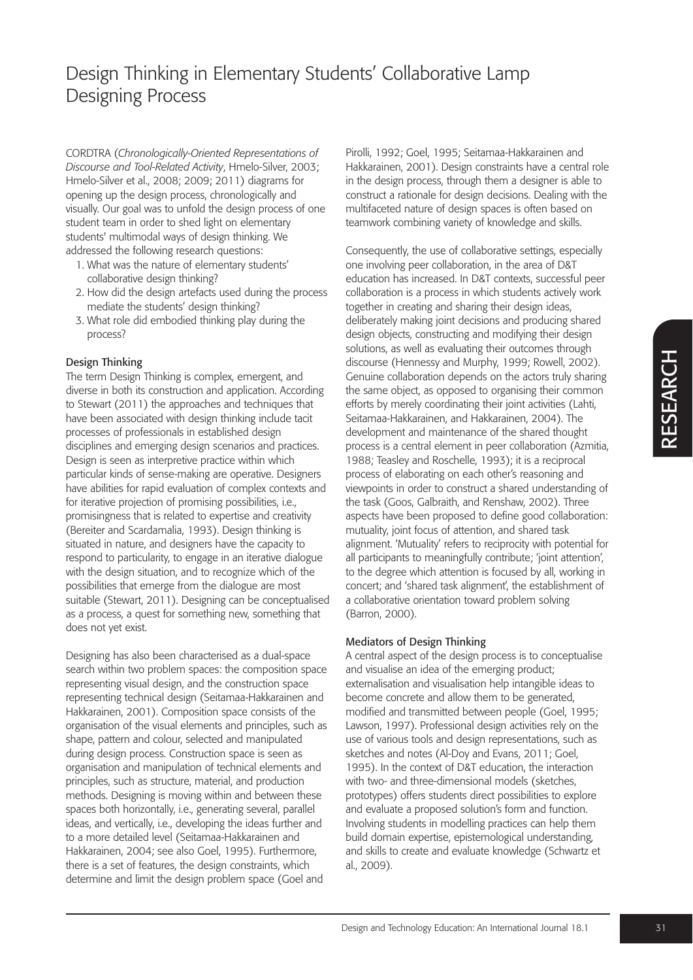CORDTRA (*Chronologically-Oriented Representations of Discourse and Tool-Related Activity*, Hmelo-Silver, 2003; Hmelo-Silver et al., 2008; 2009; 2011) diagrams for opening up the design process, chronologically and visually. Our goal was to unfold the design process of one student team in order to shed light on elementary students' multimodal ways of design thinking. We addressed the following research questions:

- 1. What was the nature of elementary students' collaborative design thinking?
- 2. How did the design artefacts used during the process mediate the students' design thinking?
- 3. What role did embodied thinking play during the process?

## Design Thinking

The term Design Thinking is complex, emergent, and diverse in both its construction and application. According to Stewart (2011) the approaches and techniques that have been associated with design thinking include tacit processes of professionals in established design disciplines and emerging design scenarios and practices. Design is seen as interpretive practice within which particular kinds of sense-making are operative. Designers have abilities for rapid evaluation of complex contexts and for iterative projection of promising possibilities, i.e., promisingness that is related to expertise and creativity (Bereiter and Scardamalia, 1993). Design thinking is situated in nature, and designers have the capacity to respond to particularity, to engage in an iterative dialogue with the design situation, and to recognize which of the possibilities that emerge from the dialogue are most suitable (Stewart, 2011). Designing can be conceptualised as a process, a quest for something new, something that does not yet exist.

Designing has also been characterised as a dual-space search within two problem spaces: the composition space representing visual design, and the construction space representing technical design (Seitamaa-Hakkarainen and Hakkarainen, 2001). Composition space consists of the organisation of the visual elements and principles, such as shape, pattern and colour, selected and manipulated during design process. Construction space is seen as organisation and manipulation of technical elements and principles, such as structure, material, and production methods. Designing is moving within and between these spaces both horizontally, i.e., generating several, parallel ideas, and vertically, i.e., developing the ideas further and to a more detailed level (Seitamaa-Hakkarainen and Hakkarainen, 2004; see also Goel, 1995). Furthermore, there is a set of features, the design constraints, which determine and limit the design problem space (Goel and

Pirolli, 1992; Goel, 1995; Seitamaa-Hakkarainen and Hakkarainen, 2001). Design constraints have a central role in the design process, through them a designer is able to construct a rationale for design decisions. Dealing with the multifaceted nature of design spaces is often based on teamwork combining variety of knowledge and skills.

Consequently, the use of collaborative settings, especially one involving peer collaboration, in the area of D&T education has increased. In D&T contexts, successful peer collaboration is a process in which students actively work together in creating and sharing their design ideas, deliberately making joint decisions and producing shared design objects, constructing and modifying their design solutions, as well as evaluating their outcomes through discourse (Hennessy and Murphy, 1999; Rowell, 2002). Genuine collaboration depends on the actors truly sharing the same object, as opposed to organising their common efforts by merely coordinating their joint activities (Lahti, Seitamaa-Hakkarainen, and Hakkarainen, 2004). The development and maintenance of the shared thought process is a central element in peer collaboration (Azmitia, 1988; Teasley and Roschelle, 1993); it is a reciprocal process of elaborating on each other's reasoning and viewpoints in order to construct a shared understanding of the task (Goos, Galbraith, and Renshaw, 2002). Three aspects have been proposed to define good collaboration: mutuality, joint focus of attention, and shared task alignment. 'Mutuality' refers to reciprocity with potential for all participants to meaningfully contribute; 'joint attention', to the degree which attention is focused by all, working in concert; and 'shared task alignment', the establishment of a collaborative orientation toward problem solving (Barron, 2000).

## Mediators of Design Thinking

A central aspect of the design process is to conceptualise and visualise an idea of the emerging product; externalisation and visualisation help intangible ideas to become concrete and allow them to be generated, modified and transmitted between people (Goel, 1995; Lawson, 1997). Professional design activities rely on the use of various tools and design representations, such as sketches and notes (Al-Doy and Evans, 2011; Goel, 1995). In the context of D&T education, the interaction with two- and three-dimensional models (sketches, prototypes) offers students direct possibilities to explore and evaluate a proposed solution's form and function. Involving students in modelling practices can help them build domain expertise, epistemological understanding, and skills to create and evaluate knowledge (Schwartz et al., 2009).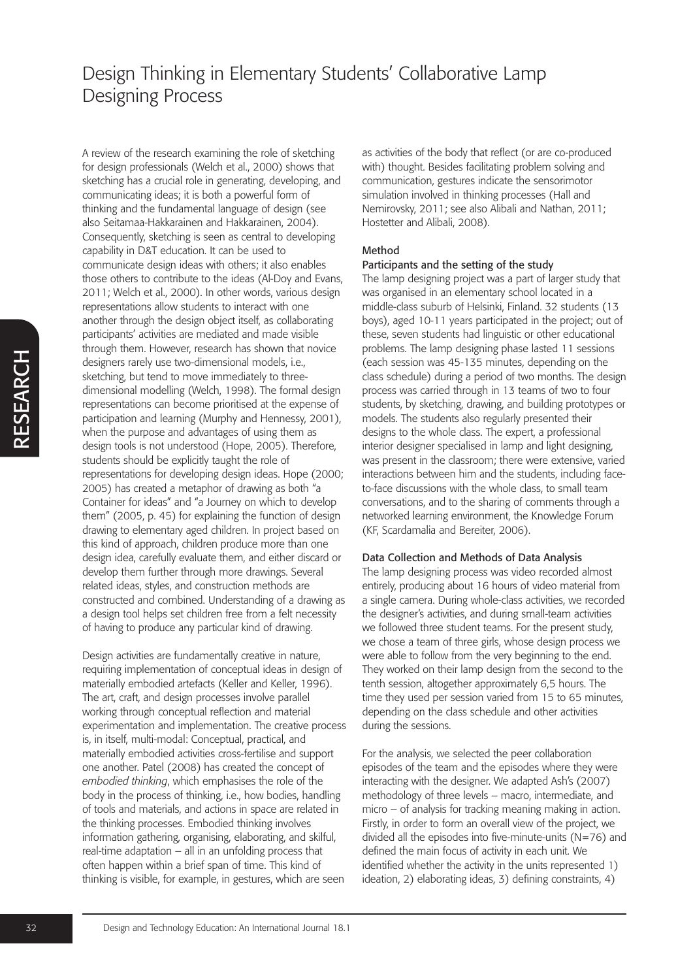RESEARCH RESEARCH A review of the research examining the role of sketching for design professionals (Welch et al., 2000) shows that sketching has a crucial role in generating, developing, and communicating ideas; it is both a powerful form of thinking and the fundamental language of design (see also Seitamaa-Hakkarainen and Hakkarainen, 2004). Consequently, sketching is seen as central to developing capability in D&T education. It can be used to communicate design ideas with others; it also enables those others to contribute to the ideas (Al-Doy and Evans, 2011; Welch et al., 2000). In other words, various design representations allow students to interact with one another through the design object itself, as collaborating participants' activities are mediated and made visible through them. However, research has shown that novice designers rarely use two-dimensional models, i.e., sketching, but tend to move immediately to threedimensional modelling (Welch, 1998). The formal design representations can become prioritised at the expense of participation and learning (Murphy and Hennessy, 2001), when the purpose and advantages of using them as design tools is not understood (Hope, 2005). Therefore, students should be explicitly taught the role of representations for developing design ideas. Hope (2000; 2005) has created a metaphor of drawing as both "a Container for ideas" and "a Journey on which to develop them" (2005, p. 45) for explaining the function of design drawing to elementary aged children. In project based on this kind of approach, children produce more than one design idea, carefully evaluate them, and either discard or develop them further through more drawings. Several related ideas, styles, and construction methods are constructed and combined. Understanding of a drawing as a design tool helps set children free from a felt necessity of having to produce any particular kind of drawing.

Design activities are fundamentally creative in nature, requiring implementation of conceptual ideas in design of materially embodied artefacts (Keller and Keller, 1996). The art, craft, and design processes involve parallel working through conceptual reflection and material experimentation and implementation. The creative process is, in itself, multi-modal: Conceptual, practical, and materially embodied activities cross-fertilise and support one another. Patel (2008) has created the concept of *embodied thinking*, which emphasises the role of the body in the process of thinking, i.e., how bodies, handling of tools and materials, and actions in space are related in the thinking processes. Embodied thinking involves information gathering, organising, elaborating, and skilful, real-time adaptation – all in an unfolding process that often happen within a brief span of time. This kind of thinking is visible, for example, in gestures, which are seen as activities of the body that reflect (or are co-produced with) thought. Besides facilitating problem solving and communication, gestures indicate the sensorimotor simulation involved in thinking processes (Hall and Nemirovsky, 2011; see also Alibali and Nathan, 2011; Hostetter and Alibali, 2008).

## Method

### Participants and the setting of the study

The lamp designing project was a part of larger study that was organised in an elementary school located in a middle-class suburb of Helsinki, Finland. 32 students (13 boys), aged 10-11 years participated in the project; out of these, seven students had linguistic or other educational problems. The lamp designing phase lasted 11 sessions (each session was 45-135 minutes, depending on the class schedule) during a period of two months. The design process was carried through in 13 teams of two to four students, by sketching, drawing, and building prototypes or models. The students also regularly presented their designs to the whole class. The expert, a professional interior designer specialised in lamp and light designing, was present in the classroom; there were extensive, varied interactions between him and the students, including faceto-face discussions with the whole class, to small team conversations, and to the sharing of comments through a networked learning environment, the Knowledge Forum (KF, Scardamalia and Bereiter, 2006).

## Data Collection and Methods of Data Analysis

The lamp designing process was video recorded almost entirely, producing about 16 hours of video material from a single camera. During whole-class activities, we recorded the designer's activities, and during small-team activities we followed three student teams. For the present study, we chose a team of three girls, whose design process we were able to follow from the very beginning to the end. They worked on their lamp design from the second to the tenth session, altogether approximately 6,5 hours. The time they used per session varied from 15 to 65 minutes, depending on the class schedule and other activities during the sessions.

For the analysis, we selected the peer collaboration episodes of the team and the episodes where they were interacting with the designer. We adapted Ash's (2007) methodology of three levels – macro, intermediate, and micro – of analysis for tracking meaning making in action. Firstly, in order to form an overall view of the project, we divided all the episodes into five-minute-units (N=76) and defined the main focus of activity in each unit. We identified whether the activity in the units represented 1) ideation, 2) elaborating ideas, 3) defining constraints, 4)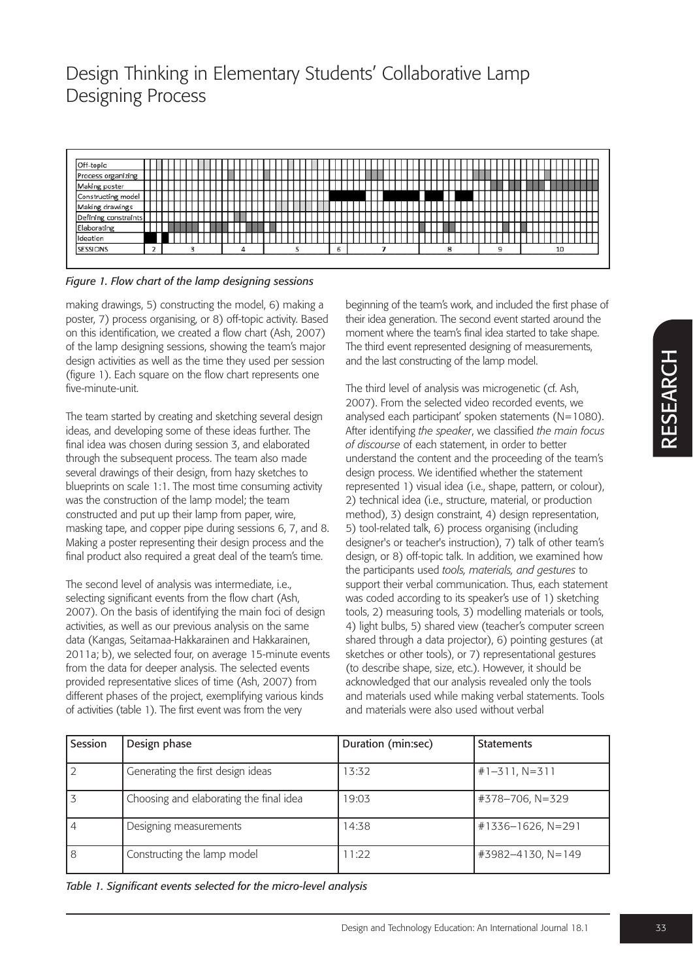

## *Figure 1. Flow chart of the lamp designing sessions*

making drawings, 5) constructing the model, 6) making a poster, 7) process organising, or 8) off-topic activity. Based on this identification, we created a flow chart (Ash, 2007) of the lamp designing sessions, showing the team's major design activities as well as the time they used per session (figure 1). Each square on the flow chart represents one five-minute-unit.

The team started by creating and sketching several design ideas, and developing some of these ideas further. The final idea was chosen during session 3, and elaborated through the subsequent process. The team also made several drawings of their design, from hazy sketches to blueprints on scale 1:1. The most time consuming activity was the construction of the lamp model; the team constructed and put up their lamp from paper, wire, masking tape, and copper pipe during sessions 6, 7, and 8. Making a poster representing their design process and the final product also required a great deal of the team's time.

The second level of analysis was intermediate, i.e., selecting significant events from the flow chart (Ash, 2007). On the basis of identifying the main foci of design activities, as well as our previous analysis on the same data (Kangas, Seitamaa-Hakkarainen and Hakkarainen, 2011a; b), we selected four, on average 15-minute events from the data for deeper analysis. The selected events provided representative slices of time (Ash, 2007) from different phases of the project, exemplifying various kinds of activities (table 1). The first event was from the very

beginning of the team's work, and included the first phase of their idea generation. The second event started around the moment where the team's final idea started to take shape. The third event represented designing of measurements, and the last constructing of the lamp model.

The third level of analysis was microgenetic (cf. Ash, 2007). From the selected video recorded events, we analysed each participant' spoken statements (N=1080). After identifying *the speaker*, we classified *the main focus of discourse* of each statement, in order to better understand the content and the proceeding of the team's design process. We identified whether the statement represented 1) visual idea (i.e., shape, pattern, or colour), 2) technical idea (i.e., structure, material, or production method), 3) design constraint, 4) design representation, 5) tool-related talk, 6) process organising (including designer's or teacher's instruction), 7) talk of other team's design, or 8) off-topic talk. In addition, we examined how the participants used *tools, materials, and gestures* to support their verbal communication. Thus, each statement was coded according to its speaker's use of 1) sketching tools, 2) measuring tools, 3) modelling materials or tools, 4) light bulbs, 5) shared view (teacher's computer screen shared through a data projector), 6) pointing gestures (at sketches or other tools), or 7) representational gestures (to describe shape, size, etc.). However, it should be acknowledged that our analysis revealed only the tools and materials used while making verbal statements. Tools and materials were also used without verbal

| Session | Design phase                            | Duration (min:sec) | <b>Statements</b>   |
|---------|-----------------------------------------|--------------------|---------------------|
|         | Generating the first design ideas       | 13:32              | $#1 - 311, N = 311$ |
|         | Choosing and elaborating the final idea | 19:03              | #378-706, N=329     |
|         | Designing measurements                  | 14:38              | #1336-1626, N=291   |
| 8       | Constructing the lamp model             | 1:22               | #3982-4130, N=149   |

*Table 1. Significant events selected for the micro-level analysis*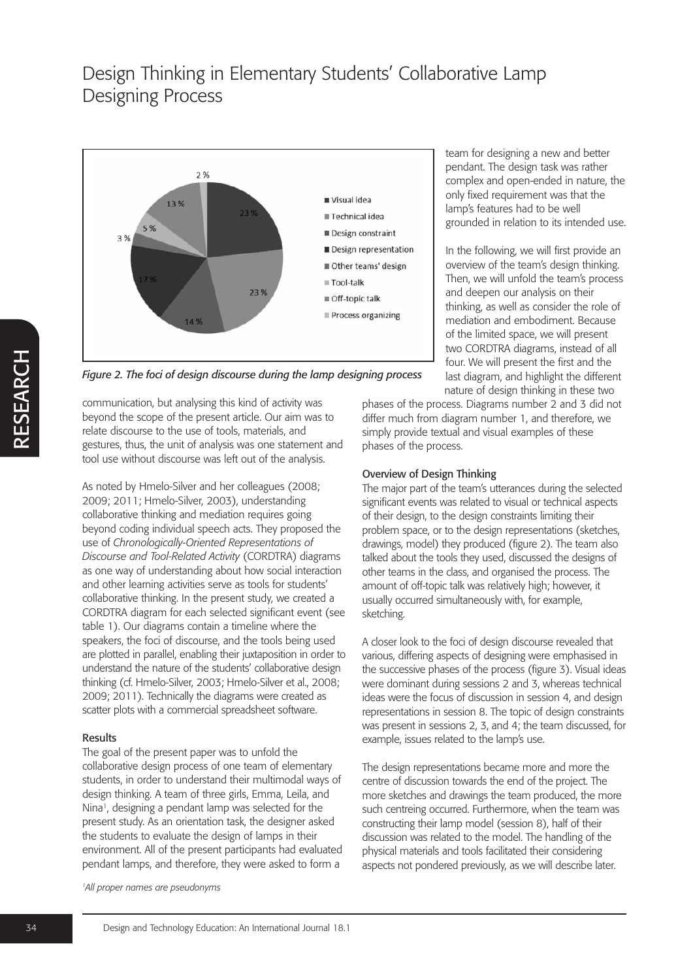

*Figure 2. The foci of design discourse during the lamp designing process*

communication, but analysing this kind of activity was beyond the scope of the present article. Our aim was to relate discourse to the use of tools, materials, and gestures, thus, the unit of analysis was one statement and tool use without discourse was left out of the analysis.

As noted by Hmelo-Silver and her colleagues (2008; 2009; 2011; Hmelo-Silver, 2003), understanding collaborative thinking and mediation requires going beyond coding individual speech acts. They proposed the use of *Chronologically-Oriented Representations of Discourse and Tool-Related Activity* (CORDTRA) diagrams as one way of understanding about how social interaction and other learning activities serve as tools for students' collaborative thinking. In the present study, we created a CORDTRA diagram for each selected significant event (see table 1). Our diagrams contain a timeline where the speakers, the foci of discourse, and the tools being used are plotted in parallel, enabling their juxtaposition in order to understand the nature of the students' collaborative design thinking (cf. Hmelo-Silver, 2003; Hmelo-Silver et al., 2008; 2009; 2011). Technically the diagrams were created as scatter plots with a commercial spreadsheet software.

#### Results

The goal of the present paper was to unfold the collaborative design process of one team of elementary students, in order to understand their multimodal ways of design thinking. A team of three girls, Emma, Leila, and Nina<sup>1</sup>, designing a pendant lamp was selected for the present study. As an orientation task, the designer asked the students to evaluate the design of lamps in their environment. All of the present participants had evaluated pendant lamps, and therefore, they were asked to form a

*1All proper names are pseudonyms*

team for designing a new and better pendant. The design task was rather complex and open-ended in nature, the only fixed requirement was that the lamp's features had to be well grounded in relation to its intended use.

In the following, we will first provide an overview of the team's design thinking. Then, we will unfold the team's process and deepen our analysis on their thinking, as well as consider the role of mediation and embodiment. Because of the limited space, we will present two CORDTRA diagrams, instead of all four. We will present the first and the last diagram, and highlight the different nature of design thinking in these two

phases of the process. Diagrams number 2 and 3 did not differ much from diagram number 1, and therefore, we simply provide textual and visual examples of these phases of the process.

### Overview of Design Thinking

The major part of the team's utterances during the selected significant events was related to visual or technical aspects of their design, to the design constraints limiting their problem space, or to the design representations (sketches, drawings, model) they produced (figure 2). The team also talked about the tools they used, discussed the designs of other teams in the class, and organised the process. The amount of off-topic talk was relatively high; however, it usually occurred simultaneously with, for example, sketching.

A closer look to the foci of design discourse revealed that various, differing aspects of designing were emphasised in the successive phases of the process (figure 3). Visual ideas were dominant during sessions 2 and 3, whereas technical ideas were the focus of discussion in session 4, and design representations in session 8. The topic of design constraints was present in sessions 2, 3, and 4; the team discussed, for example, issues related to the lamp's use.

The design representations became more and more the centre of discussion towards the end of the project. The more sketches and drawings the team produced, the more such centreing occurred. Furthermore, when the team was constructing their lamp model (session 8), half of their discussion was related to the model. The handling of the physical materials and tools facilitated their considering aspects not pondered previously, as we will describe later.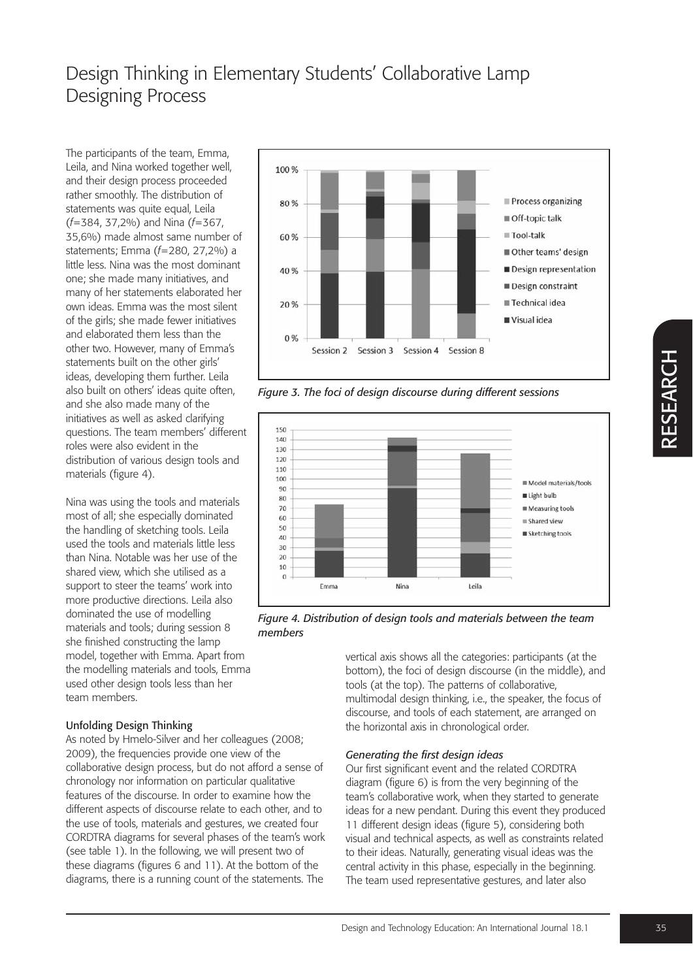The participants of the team, Emma, Leila, and Nina worked together well, and their design process proceeded rather smoothly. The distribution of statements was quite equal, Leila (*f*=384, 37,2%) and Nina (*f*=367, 35,6%) made almost same number of statements; Emma (*f*=280, 27,2%) a little less. Nina was the most dominant one; she made many initiatives, and many of her statements elaborated her own ideas. Emma was the most silent of the girls; she made fewer initiatives and elaborated them less than the other two. However, many of Emma's statements built on the other girls' ideas, developing them further. Leila also built on others' ideas quite often, and she also made many of the initiatives as well as asked clarifying questions. The team members' different roles were also evident in the distribution of various design tools and materials (figure 4).

Nina was using the tools and materials most of all; she especially dominated the handling of sketching tools. Leila used the tools and materials little less than Nina. Notable was her use of the shared view, which she utilised as a support to steer the teams' work into more productive directions. Leila also dominated the use of modelling materials and tools; during session 8 she finished constructing the lamp model, together with Emma. Apart from the modelling materials and tools, Emma used other design tools less than her team members.

## Unfolding Design Thinking

As noted by Hmelo-Silver and her colleagues (2008; 2009), the frequencies provide one view of the collaborative design process, but do not afford a sense of chronology nor information on particular qualitative features of the discourse. In order to examine how the different aspects of discourse relate to each other, and to the use of tools, materials and gestures, we created four CORDTRA diagrams for several phases of the team's work (see table 1). In the following, we will present two of these diagrams (figures 6 and 11). At the bottom of the diagrams, there is a running count of the statements. The



*Figure 3. The foci of design discourse during different sessions*



*Figure 4. Distribution of design tools and materials between the team members*

vertical axis shows all the categories: participants (at the bottom), the foci of design discourse (in the middle), and tools (at the top). The patterns of collaborative, multimodal design thinking, i.e., the speaker, the focus of discourse, and tools of each statement, are arranged on the horizontal axis in chronological order.

## *Generating the first design ideas*

Our first significant event and the related CORDTRA diagram (figure 6) is from the very beginning of the team's collaborative work, when they started to generate ideas for a new pendant. During this event they produced 11 different design ideas (figure 5), considering both visual and technical aspects, as well as constraints related to their ideas. Naturally, generating visual ideas was the central activity in this phase, especially in the beginning. The team used representative gestures, and later also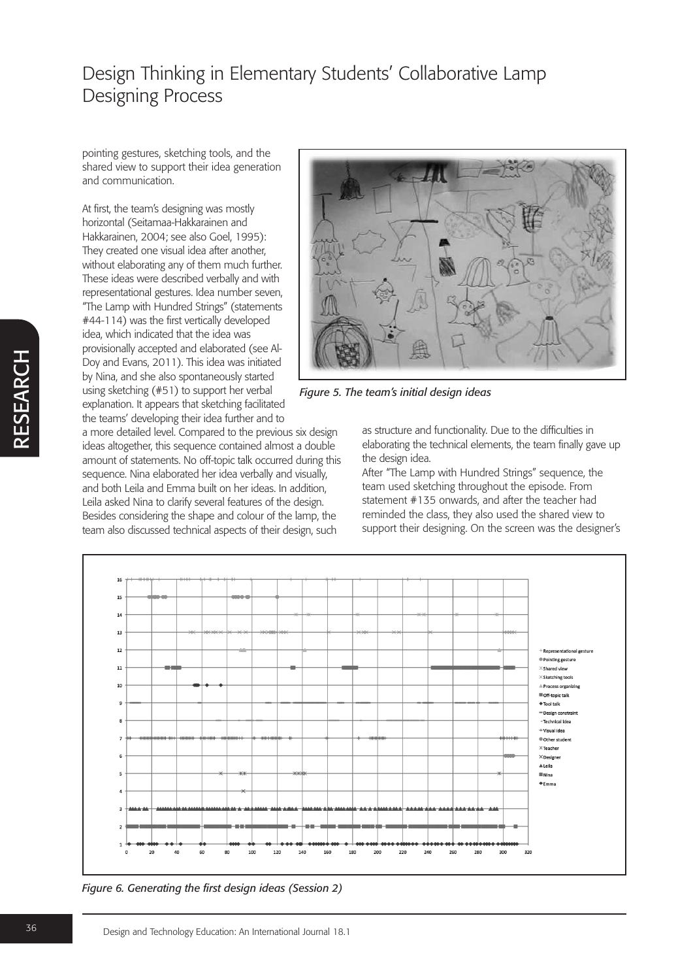pointing gestures, sketching tools, and the shared view to support their idea generation and communication.

At first, the team's designing was mostly horizontal (Seitamaa-Hakkarainen and Hakkarainen, 2004; see also Goel, 1995): They created one visual idea after another, without elaborating any of them much further. These ideas were described verbally and with representational gestures. Idea number seven, "The Lamp with Hundred Strings" (statements #44-114) was the first vertically developed idea, which indicated that the idea was provisionally accepted and elaborated (see Al-Doy and Evans, 2011). This idea was initiated by Nina, and she also spontaneously started using sketching (#51) to support her verbal explanation. It appears that sketching facilitated the teams' developing their idea further and to

a more detailed level. Compared to the previous six design ideas altogether, this sequence contained almost a double amount of statements. No off-topic talk occurred during this sequence. Nina elaborated her idea verbally and visually, and both Leila and Emma built on her ideas. In addition, Leila asked Nina to clarify several features of the design. Besides considering the shape and colour of the lamp, the team also discussed technical aspects of their design, such

![](_page_6_Figure_4.jpeg)

*Figure 5. The team's initial design ideas*

as structure and functionality. Due to the difficulties in elaborating the technical elements, the team finally gave up the design idea.

After "The Lamp with Hundred Strings" sequence, the team used sketching throughout the episode. From statement #135 onwards, and after the teacher had reminded the class, they also used the shared view to support their designing. On the screen was the designer's

![](_page_6_Figure_8.jpeg)

*Figure 6. Generating the first design ideas (Session 2)*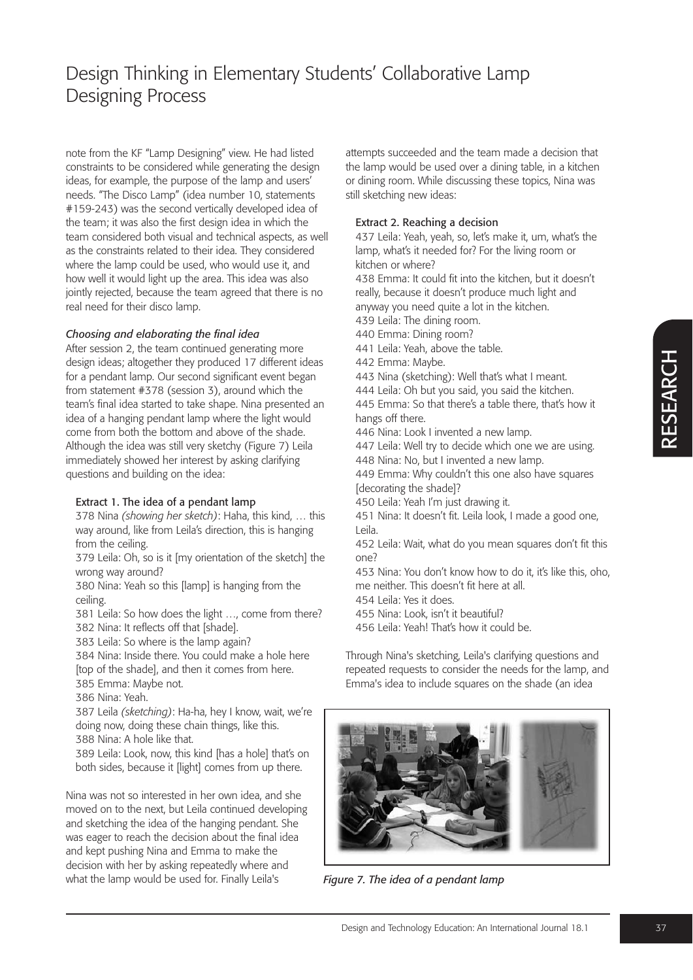note from the KF "Lamp Designing" view. He had listed constraints to be considered while generating the design ideas, for example, the purpose of the lamp and users' needs. "The Disco Lamp" (idea number 10, statements #159-243) was the second vertically developed idea of the team; it was also the first design idea in which the team considered both visual and technical aspects, as well as the constraints related to their idea. They considered where the lamp could be used, who would use it, and how well it would light up the area. This idea was also jointly rejected, because the team agreed that there is no real need for their disco lamp.

## *Choosing and elaborating the final idea*

After session 2, the team continued generating more design ideas; altogether they produced 17 different ideas for a pendant lamp. Our second significant event began from statement #378 (session 3), around which the team's final idea started to take shape. Nina presented an idea of a hanging pendant lamp where the light would come from both the bottom and above of the shade. Although the idea was still very sketchy (Figure 7) Leila immediately showed her interest by asking clarifying questions and building on the idea:

## Extract 1. The idea of a pendant lamp

378 Nina *(showing her sketch)*: Haha, this kind, … this way around, like from Leila's direction, this is hanging from the ceiling.

379 Leila: Oh, so is it [my orientation of the sketch] the wrong way around?

380 Nina: Yeah so this [lamp] is hanging from the ceiling.

381 Leila: So how does the light …, come from there? 382 Nina: It reflects off that [shade].

383 Leila: So where is the lamp again?

384 Nina: Inside there. You could make a hole here [top of the shade], and then it comes from here.

385 Emma: Maybe not.

386 Nina: Yeah.

387 Leila *(sketching)*: Ha-ha, hey I know, wait, we're doing now, doing these chain things, like this.

388 Nina: A hole like that.

389 Leila: Look, now, this kind [has a hole] that's on both sides, because it [light] comes from up there.

Nina was not so interested in her own idea, and she moved on to the next, but Leila continued developing and sketching the idea of the hanging pendant. She was eager to reach the decision about the final idea and kept pushing Nina and Emma to make the decision with her by asking repeatedly where and what the lamp would be used for. Finally Leila's

attempts succeeded and the team made a decision that the lamp would be used over a dining table, in a kitchen or dining room. While discussing these topics, Nina was still sketching new ideas:

## Extract 2. Reaching a decision

437 Leila: Yeah, yeah, so, let's make it, um, what's the lamp, what's it needed for? For the living room or kitchen or where?

438 Emma: It could fit into the kitchen, but it doesn't really, because it doesn't produce much light and anyway you need quite a lot in the kitchen.

439 Leila: The dining room.

- 440 Emma: Dining room?
- 441 Leila: Yeah, above the table.
- 442 Emma: Maybe.
- 443 Nina (sketching): Well that's what I meant.

444 Leila: Oh but you said, you said the kitchen.

445 Emma: So that there's a table there, that's how it hangs off there.

446 Nina: Look I invented a new lamp.

447 Leila: Well try to decide which one we are using. 448 Nina: No, but I invented a new lamp.

449 Emma: Why couldn't this one also have squares [decorating the shade]?

450 Leila: Yeah I'm just drawing it.

451 Nina: It doesn't fit. Leila look, I made a good one, Leila.

452 Leila: Wait, what do you mean squares don't fit this one?

453 Nina: You don't know how to do it, it's like this, oho, me neither. This doesn't fit here at all.

454 Leila: Yes it does.

455 Nina: Look, isn't it beautiful?

456 Leila: Yeah! That's how it could be.

Through Nina's sketching, Leila's clarifying questions and repeated requests to consider the needs for the lamp, and Emma's idea to include squares on the shade (an idea

![](_page_7_Picture_39.jpeg)

*Figure 7. The idea of a pendant lamp*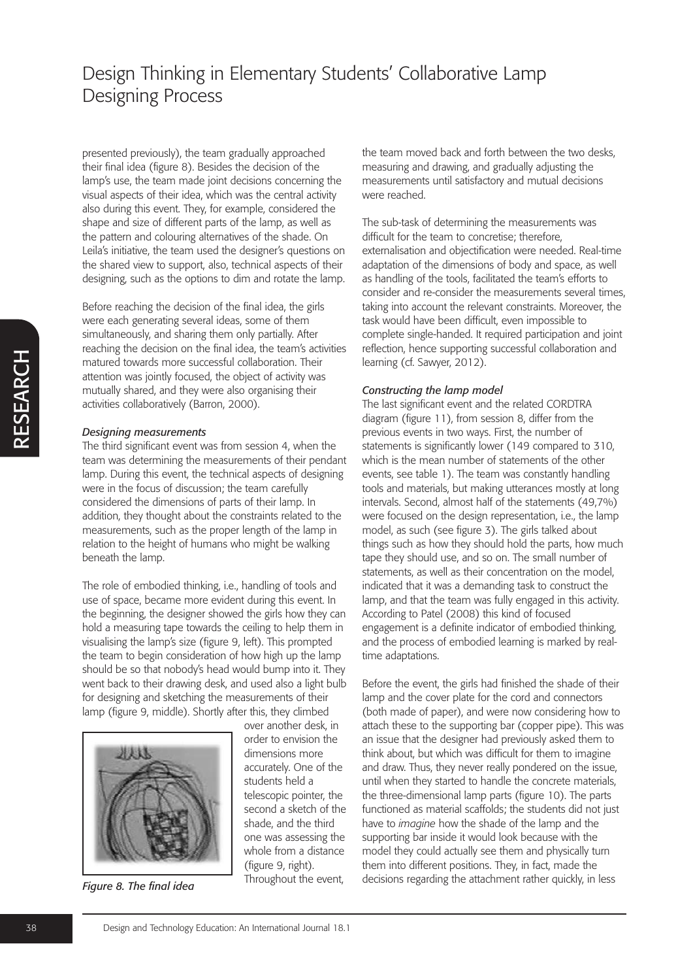presented previously), the team gradually approached their final idea (figure 8). Besides the decision of the lamp's use, the team made joint decisions concerning the visual aspects of their idea, which was the central activity also during this event. They, for example, considered the shape and size of different parts of the lamp, as well as the pattern and colouring alternatives of the shade. On Leila's initiative, the team used the designer's questions on the shared view to support, also, technical aspects of their designing, such as the options to dim and rotate the lamp.

Before reaching the decision of the final idea, the girls were each generating several ideas, some of them simultaneously, and sharing them only partially. After reaching the decision on the final idea, the team's activities matured towards more successful collaboration. Their attention was jointly focused, the object of activity was mutually shared, and they were also organising their activities collaboratively (Barron, 2000).

#### *Designing measurements*

The third significant event was from session 4, when the team was determining the measurements of their pendant lamp. During this event, the technical aspects of designing were in the focus of discussion; the team carefully considered the dimensions of parts of their lamp. In addition, they thought about the constraints related to the measurements, such as the proper length of the lamp in relation to the height of humans who might be walking beneath the lamp.

The role of embodied thinking, i.e., handling of tools and use of space, became more evident during this event. In the beginning, the designer showed the girls how they can hold a measuring tape towards the ceiling to help them in visualising the lamp's size (figure 9, left). This prompted the team to begin consideration of how high up the lamp should be so that nobody's head would bump into it. They went back to their drawing desk, and used also a light bulb for designing and sketching the measurements of their lamp (figure 9, middle). Shortly after this, they climbed

![](_page_8_Picture_6.jpeg)

*Figure 8. The final idea*

over another desk, in order to envision the dimensions more accurately. One of the students held a telescopic pointer, the second a sketch of the shade, and the third one was assessing the whole from a distance (figure 9, right). Throughout the event,

the team moved back and forth between the two desks, measuring and drawing, and gradually adjusting the measurements until satisfactory and mutual decisions were reached.

The sub-task of determining the measurements was difficult for the team to concretise; therefore, externalisation and objectification were needed. Real-time adaptation of the dimensions of body and space, as well as handling of the tools, facilitated the team's efforts to consider and re-consider the measurements several times, taking into account the relevant constraints. Moreover, the task would have been difficult, even impossible to complete single-handed. It required participation and joint reflection, hence supporting successful collaboration and learning (cf. Sawyer, 2012).

## *Constructing the lamp model*

The last significant event and the related CORDTRA diagram (figure 11), from session 8, differ from the previous events in two ways. First, the number of statements is significantly lower (149 compared to 310, which is the mean number of statements of the other events, see table 1). The team was constantly handling tools and materials, but making utterances mostly at long intervals. Second, almost half of the statements (49,7%) were focused on the design representation, i.e., the lamp model, as such (see figure 3). The girls talked about things such as how they should hold the parts, how much tape they should use, and so on. The small number of statements, as well as their concentration on the model, indicated that it was a demanding task to construct the lamp, and that the team was fully engaged in this activity. According to Patel (2008) this kind of focused engagement is a definite indicator of embodied thinking, and the process of embodied learning is marked by realtime adaptations.

Before the event, the girls had finished the shade of their lamp and the cover plate for the cord and connectors (both made of paper), and were now considering how to attach these to the supporting bar (copper pipe). This was an issue that the designer had previously asked them to think about, but which was difficult for them to imagine and draw. Thus, they never really pondered on the issue, until when they started to handle the concrete materials, the three-dimensional lamp parts (figure 10). The parts functioned as material scaffolds; the students did not just have to *imagine* how the shade of the lamp and the supporting bar inside it would look because with the model they could actually see them and physically turn them into different positions. They, in fact, made the decisions regarding the attachment rather quickly, in less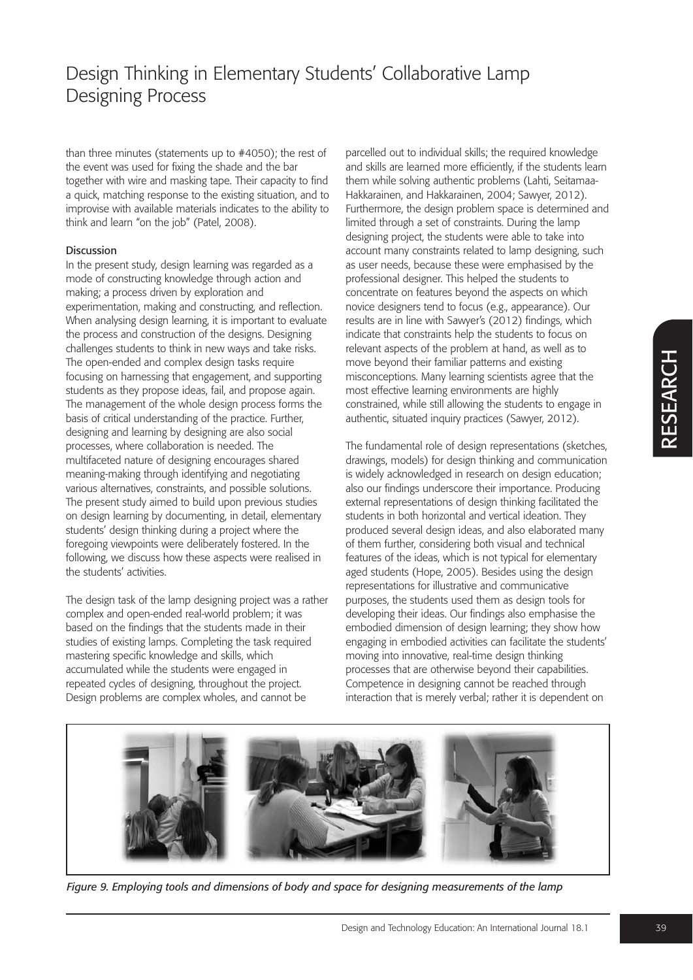than three minutes (statements up to #4050); the rest of the event was used for fixing the shade and the bar together with wire and masking tape. Their capacity to find a quick, matching response to the existing situation, and to improvise with available materials indicates to the ability to think and learn "on the job" (Patel, 2008).

### Discussion

In the present study, design learning was regarded as a mode of constructing knowledge through action and making; a process driven by exploration and experimentation, making and constructing, and reflection. When analysing design learning, it is important to evaluate the process and construction of the designs. Designing challenges students to think in new ways and take risks. The open-ended and complex design tasks require focusing on harnessing that engagement, and supporting students as they propose ideas, fail, and propose again. The management of the whole design process forms the basis of critical understanding of the practice. Further, designing and learning by designing are also social processes, where collaboration is needed. The multifaceted nature of designing encourages shared meaning-making through identifying and negotiating various alternatives, constraints, and possible solutions. The present study aimed to build upon previous studies on design learning by documenting, in detail, elementary students' design thinking during a project where the foregoing viewpoints were deliberately fostered. In the following, we discuss how these aspects were realised in the students' activities.

The design task of the lamp designing project was a rather complex and open-ended real-world problem; it was based on the findings that the students made in their studies of existing lamps. Completing the task required mastering specific knowledge and skills, which accumulated while the students were engaged in repeated cycles of designing, throughout the project. Design problems are complex wholes, and cannot be

parcelled out to individual skills; the required knowledge and skills are learned more efficiently, if the students learn them while solving authentic problems (Lahti, Seitamaa-Hakkarainen, and Hakkarainen, 2004; Sawyer, 2012). Furthermore, the design problem space is determined and limited through a set of constraints. During the lamp designing project, the students were able to take into account many constraints related to lamp designing, such as user needs, because these were emphasised by the professional designer. This helped the students to concentrate on features beyond the aspects on which novice designers tend to focus (e.g., appearance). Our results are in line with Sawyer's (2012) findings, which indicate that constraints help the students to focus on relevant aspects of the problem at hand, as well as to move beyond their familiar patterns and existing misconceptions. Many learning scientists agree that the most effective learning environments are highly constrained, while still allowing the students to engage in authentic, situated inquiry practices (Sawyer, 2012).

The fundamental role of design representations (sketches, drawings, models) for design thinking and communication is widely acknowledged in research on design education; also our findings underscore their importance. Producing external representations of design thinking facilitated the students in both horizontal and vertical ideation. They produced several design ideas, and also elaborated many of them further, considering both visual and technical features of the ideas, which is not typical for elementary aged students (Hope, 2005). Besides using the design representations for illustrative and communicative purposes, the students used them as design tools for developing their ideas. Our findings also emphasise the embodied dimension of design learning; they show how engaging in embodied activities can facilitate the students' moving into innovative, real-time design thinking processes that are otherwise beyond their capabilities. Competence in designing cannot be reached through interaction that is merely verbal; rather it is dependent on

![](_page_9_Picture_8.jpeg)

*Figure 9. Employing tools and dimensions of body and space for designing measurements of the lamp*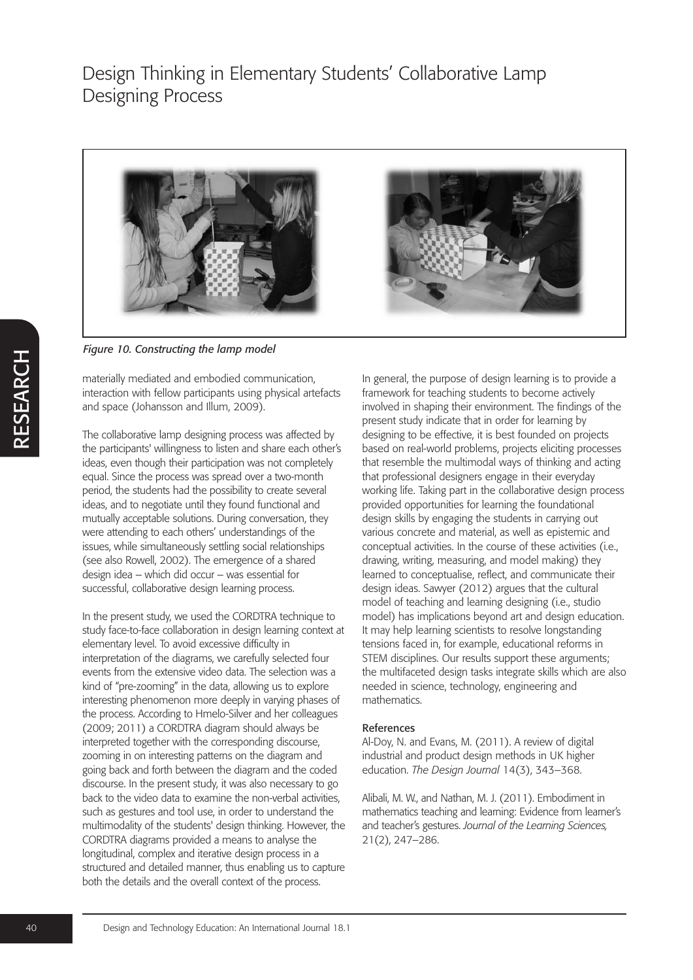![](_page_10_Picture_1.jpeg)

*Figure 10. Constructing the lamp model*

materially mediated and embodied communication, interaction with fellow participants using physical artefacts and space (Johansson and Illum, 2009).

The collaborative lamp designing process was affected by the participants' willingness to listen and share each other's ideas, even though their participation was not completely equal. Since the process was spread over a two-month period, the students had the possibility to create several ideas, and to negotiate until they found functional and mutually acceptable solutions. During conversation, they were attending to each others' understandings of the issues, while simultaneously settling social relationships (see also Rowell, 2002). The emergence of a shared design idea – which did occur – was essential for successful, collaborative design learning process.

In the present study, we used the CORDTRA technique to study face-to-face collaboration in design learning context at elementary level. To avoid excessive difficulty in interpretation of the diagrams, we carefully selected four events from the extensive video data. The selection was a kind of "pre-zooming" in the data, allowing us to explore interesting phenomenon more deeply in varying phases of the process. According to Hmelo-Silver and her colleagues (2009; 2011) a CORDTRA diagram should always be interpreted together with the corresponding discourse, zooming in on interesting patterns on the diagram and going back and forth between the diagram and the coded discourse. In the present study, it was also necessary to go back to the video data to examine the non-verbal activities, such as gestures and tool use, in order to understand the multimodality of the students' design thinking. However, the CORDTRA diagrams provided a means to analyse the longitudinal, complex and iterative design process in a structured and detailed manner, thus enabling us to capture both the details and the overall context of the process.

In general, the purpose of design learning is to provide a framework for teaching students to become actively involved in shaping their environment. The findings of the present study indicate that in order for learning by designing to be effective, it is best founded on projects based on real-world problems, projects eliciting processes that resemble the multimodal ways of thinking and acting that professional designers engage in their everyday working life. Taking part in the collaborative design process provided opportunities for learning the foundational design skills by engaging the students in carrying out various concrete and material, as well as epistemic and conceptual activities. In the course of these activities (i.e., drawing, writing, measuring, and model making) they learned to conceptualise, reflect, and communicate their design ideas. Sawyer (2012) argues that the cultural model of teaching and learning designing (i.e., studio model) has implications beyond art and design education. It may help learning scientists to resolve longstanding tensions faced in, for example, educational reforms in STEM disciplines. Our results support these arguments; the multifaceted design tasks integrate skills which are also needed in science, technology, engineering and mathematics.

## References

Al-Doy, N. and Evans, M. (2011). A review of digital industrial and product design methods in UK higher education. *The Design Journal* 14(3), 343–368.

Alibali, M. W., and Nathan, M. J. (2011). Embodiment in mathematics teaching and learning: Evidence from learner's and teacher's gestures. *Journal of the Learning Sciences,* 21(2), 247–286.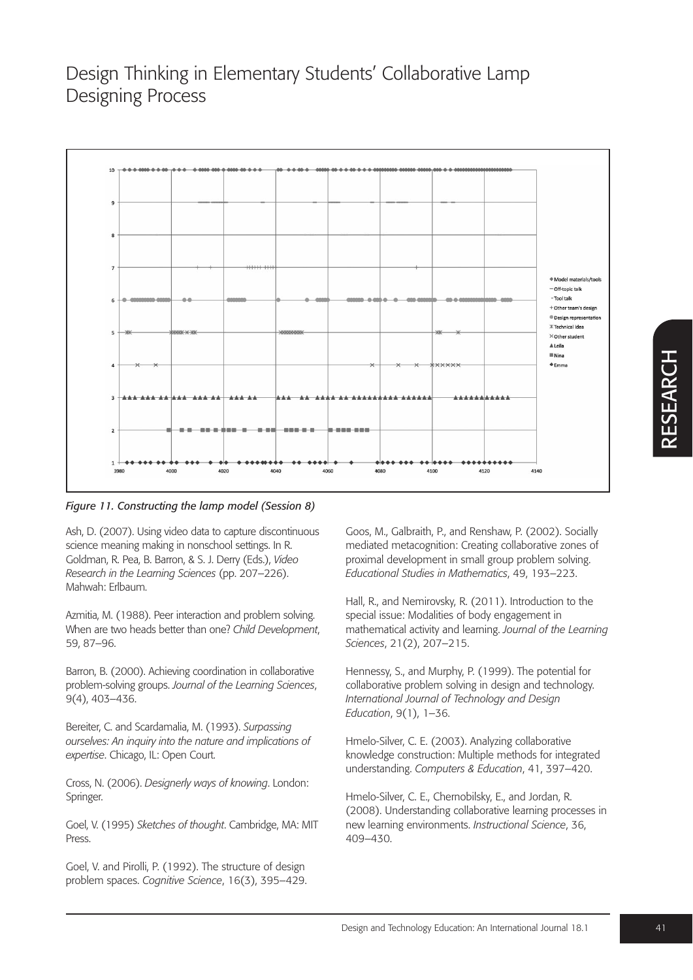![](_page_11_Figure_1.jpeg)

*Figure 11. Constructing the lamp model (Session 8)* 

Ash, D. (2007). Using video data to capture discontinuous science meaning making in nonschool settings. In R. Goldman, R. Pea, B. Barron, & S. J. Derry (Eds.), *Video Research in the Learning Sciences* (pp. 207–226). Mahwah: Erlbaum.

Azmitia, M. (1988). Peer interaction and problem solving. When are two heads better than one? *Child Development*, 59, 87–96.

Barron, B. (2000). Achieving coordination in collaborative problem-solving groups. *Journal of the Learning Sciences*, 9(4), 403–436.

Bereiter, C. and Scardamalia, M. (1993). *Surpassing ourselves: An inquiry into the nature and implications of expertise*. Chicago, IL: Open Court.

Cross, N. (2006). *Designerly ways of knowing*. London: Springer.

Goel, V. (1995) *Sketches of thought*. Cambridge, MA: MIT Press.

Goel, V. and Pirolli, P. (1992). The structure of design problem spaces. *Cognitive Science*, 16(3), 395–429.

Goos, M., Galbraith, P., and Renshaw, P. (2002). Socially mediated metacognition: Creating collaborative zones of proximal development in small group problem solving. *Educational Studies in Mathematics*, 49, 193–223.

Hall, R., and Nemirovsky, R. (2011). Introduction to the special issue: Modalities of body engagement in mathematical activity and learning. *Journal of the Learning Sciences*, 21(2), 207–215.

Hennessy, S., and Murphy, P. (1999). The potential for collaborative problem solving in design and technology. *International Journal of Technology and Design Education*, 9(1), 1–36.

Hmelo-Silver, C. E. (2003). Analyzing collaborative knowledge construction: Multiple methods for integrated understanding. *Computers & Education*, 41, 397–420.

Hmelo-Silver, C. E., Chernobilsky, E., and Jordan, R. (2008). Understanding collaborative learning processes in new learning environments. *Instructional Science*, 36, 409–430.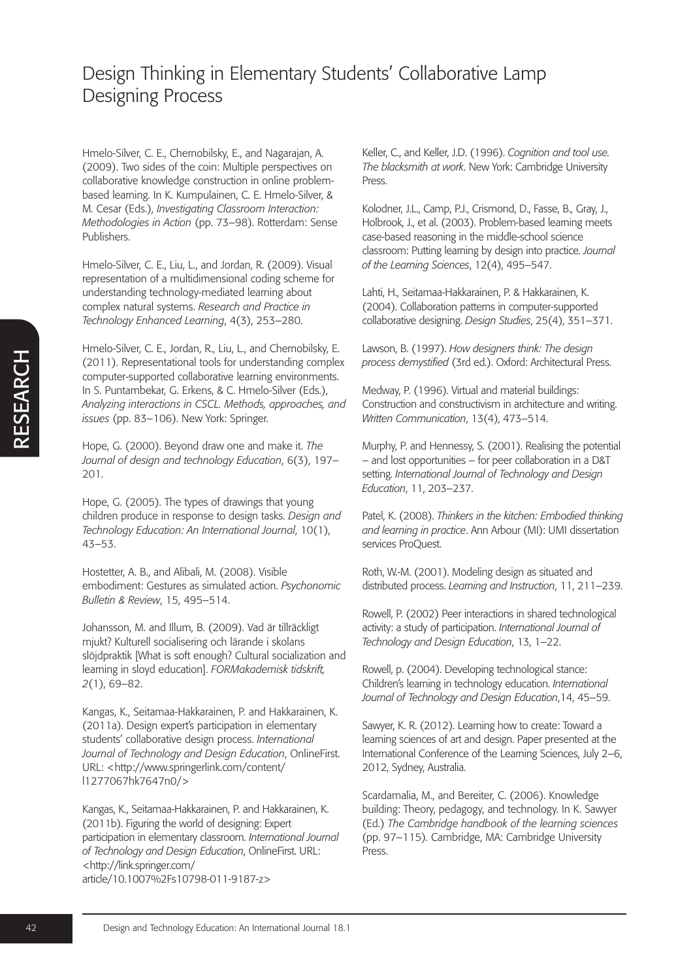Hmelo-Silver, C. E., Chernobilsky, E., and Nagarajan, A. (2009). Two sides of the coin: Multiple perspectives on collaborative knowledge construction in online problembased learning. In K. Kumpulainen, C. E. Hmelo-Silver, & M. Cesar (Eds.), *Investigating Classroom Interaction: Methodologies in Action* (pp. 73–98). Rotterdam: Sense Publishers.

Hmelo-Silver, C. E., Liu, L., and Jordan, R. (2009). Visual representation of a multidimensional coding scheme for understanding technology-mediated learning about complex natural systems. *Research and Practice in Technology Enhanced Learning*, 4(3), 253–280.

Hmelo-Silver, C. E., Jordan, R., Liu, L., and Chernobilsky, E. (2011). Representational tools for understanding complex computer-supported collaborative learning environments. In S. Puntambekar, G. Erkens, & C. Hmelo-Silver (Eds.), *Analyzing interactions in CSCL. Methods, approaches, and issues* (pp. 83–106). New York: Springer.

Hope, G. (2000). Beyond draw one and make it. *The Journal of design and technology Education*, 6(3), 197– 201.

Hope, G. (2005). The types of drawings that young children produce in response to design tasks. *Design and Technology Education: An International Journal*, 10(1), 43–53.

Hostetter, A. B., and Alibali, M. (2008). Visible embodiment: Gestures as simulated action. *Psychonomic Bulletin & Review*, 15, 495–514.

Johansson, M. and Illum, B. (2009). Vad är tillräckligt mjukt? Kulturell socialisering och lärande i skolans slöjdpraktik [What is soft enough? Cultural socialization and learning in sloyd education]. *FORMakademisk tidskrift, 2*(1), 69–82.

Kangas, K., Seitamaa-Hakkarainen, P. and Hakkarainen, K. (2011a). Design expert's participation in elementary students' collaborative design process. *International Journal of Technology and Design Education*, OnlineFirst. URL: <http://www.springerlink.com/content/ l1277067hk7647n0/>

Kangas, K., Seitamaa-Hakkarainen, P. and Hakkarainen, K. (2011b). Figuring the world of designing: Expert participation in elementary classroom. *International Journal of Technology and Design Education*, OnlineFirst. URL: <http://link.springer.com/ article/10.1007%2Fs10798-011-9187-z>

Keller, C., and Keller, J.D. (1996). *Cognition and tool use. The blacksmith at work*. New York: Cambridge University Press.

Kolodner, J.L., Camp, P.J., Crismond, D., Fasse, B., Gray, J., Holbrook, J., et al. (2003). Problem-based learning meets case-based reasoning in the middle-school science classroom: Putting learning by design into practice. *Journal of the Learning Sciences*, 12(4), 495–547.

Lahti, H., Seitamaa-Hakkarainen, P. & Hakkarainen, K. (2004). Collaboration patterns in computer-supported collaborative designing. *Design Studies*, 25(4), 351–371.

Lawson, B. (1997). *How designers think: The design process demystified* (3rd ed.). Oxford: Architectural Press.

Medway, P. (1996). Virtual and material buildings: Construction and constructivism in architecture and writing. *Written Communication*, 13(4), 473–514.

Murphy, P. and Hennessy, S. (2001). Realising the potential – and lost opportunities – for peer collaboration in a D&T setting. *International Journal of Technology and Design Education*, 11, 203–237.

Patel, K. (2008). *Thinkers in the kitchen: Embodied thinking and learning in practice*. Ann Arbour (MI): UMI dissertation services ProQuest.

Roth, W.-M. (2001). Modeling design as situated and distributed process. *Learning and Instruction*, 11, 211–239.

Rowell, P. (2002) Peer interactions in shared technological activity: a study of participation. *International Journal of Technology and Design Education*, 13, 1–22.

Rowell, p. (2004). Developing technological stance: Children's learning in technology education. *International Journal of Technology and Design Education*,14, 45–59.

Sawyer, K. R. (2012). Learning how to create: Toward a learning sciences of art and design. Paper presented at the International Conference of the Learning Sciences, July 2–6, 2012, Sydney, Australia.

Scardamalia, M., and Bereiter, C. (2006). Knowledge building: Theory, pedagogy, and technology. In K. Sawyer (Ed.) *The Cambridge handbook of the learning sciences* (pp. 97–115). Cambridge, MA: Cambridge University Press.